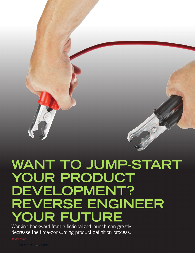# **WANT TO JUMP-START YOUR PRODUCT DEVELOPMENT? REVERSE ENGINEER YOUR FUTURE**

Working backward from a fictionalized launch can greatly decrease the time-consuming product definition process.

By Joe Tradii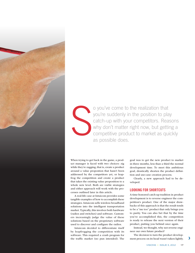

S o you've come to the realization that you're suddenly in the position to play catch-up with your competitors. Reasons why don't matter right now, but getting a competitive product to market as quickly as possible does.

When trying to get back in the game, a product manager is faced with two choices: zig while they're zagging, that is, create a product around a value propostion that hasn't been addressed by the competitors yet, or leapfrog the competition and create a product that takes the existing value proposition to a whole new level. Both are viable strategies and either approach will work with the processes outlined later in this article.

A real-life case at Intuicom provides some tangible examples of how to accomplish these strategies. Intuicom sells wireless broadband solutions into the intelligent transportation market. Typically, this involves both hardware (radios and switches) and software. Customers increasingly judge the value of these solutions based on the proprietary software used to discover and configure the radios.

Intuicom decided to differentiate itself by leapfrogging the competition with its software. This required a crash program for the traffic market (no pun intended). The goal was to get the new product to market in three months, less than a third the normal development time. To meet this ambitious goal, drastically shorten the product definition and use-case creation process.

Clearly, a new approach had to be developed.

#### LOOKING FOR SHORTCUTS

A time-honored catch-up tradition in product development is to reverse engineer the competition's product. One of the major drawbacks of this approach is that the result tends to be a "me too" product that only brings you to parity. You can also bet that by the time you've accomplished this, the competition is ready to release the next version of their product, putting you behind once again.

Instead, we thought, why not reverse engineer our own future product?

The decision to turn the product development process on its head wasn't taken lightly.  $\qquad$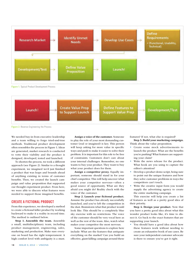

Figure 1: Typical Product Development Process



Figure 2: Reverse-Engineering the Process

We needed buy-in from executive leadership and a team willing to forgo tried-and-true methods. Traditional product development often resembles the process in Figure 1. Ideas are generated, market research is conducted to vette their viability and the product is designed, developed, tested and launched.

To shorten the process, we took a different approach (see Figure 2). Similar to a thought experiment, we imagined we'd just finished a product that was leaps and bounds ahead of anything existing in terms of customer benefits. Then, we created the launch campaign and value proposition that supported our thought experiment product. From here, we were able to discern what features were needed to support those imagined benefits.

## CREATE A FICTIONAL PRODUCT

From this experience, we developed a method to create a fictional killer product by working backward to make it a reality in record time. The method is outlined below.

Step 1. Assemble the team. Assemble a small, multidisciplinary team, including product management, engineering, sales, marketing and production. Make sure everyone on board has the right temperament. A high comfort level with ambiguity is a must.

Assign a voice of the customer. Someone to play the role of your most demanding customer (real or imagined) is key. This person will keep asking for more value in specific ways and push to make it easier to solve their problem. It is important for this role to be free of constraints. Customers don't care about your internal challenges. Remember, no one wants to buy your product. They want to buy what your product does for them.

Assign a competitor proxy. Equally important, someone should stand in for your chief competitor. This will help uncover what makes your competitor nervous—often a good source of opportunity. What are they afraid you might do? Reality check with the voice of the customer.

Step 2. Launch your ficitonal product. Assume the product has already successfully launched, and you've left the competition in the dust. Brainstorm what that product would look like. This should be a completely blue sky exercise with no restrictions. The voice of the customer should be very vocal here as well as the rest of the team. Also, watch what makes your competitor the most nervous.

Some important questions to explore here include: What are the features that antiquate everything on the market? Can you build an effective, giant-killing campaign around these

features? If not, what else is required?

Step 3. Build your marketing campaign. Think about the value proposition.

- Create some mock advertisements to launch the product. What are the benefits you're pushing? What features are supporting your claim?
- Write the news release for the product. What hook are you using to capture the editor's attention?
- Develop a product demo script, being sure to point out the unique features and how they solve customer problems in ways the competitors can't touch.
- Write the creative input form you would supply the advertising agency to create the entire marketing campaign.

This exercise will help you create a list of features as well as a pretty good idea of their priority.

Step 4. Design your product. Now that you have a pretty good idea about what this wonder product looks like, it's time to dissect it. Go back to the exact features that are supporting your launch.

You should have a good idea about how these features work without needing to create an exhaustive book of use cases. Be sure your independent customer advocate is there to ensure you've got it right.